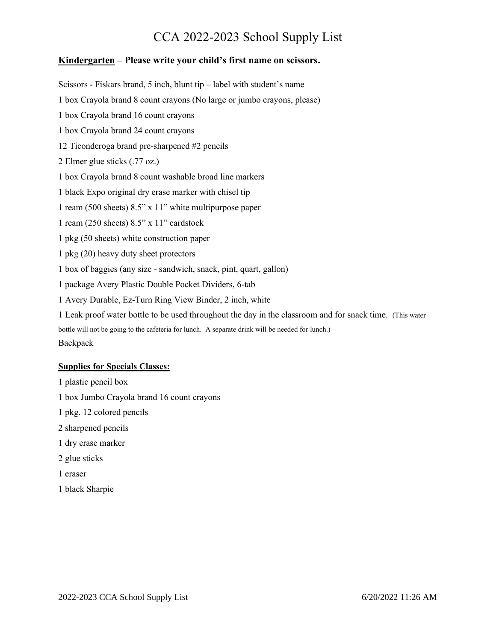## **Kindergarten – Please write your child's first name on scissors.**

Scissors - Fiskars brand, 5 inch, blunt tip – label with student's name

1 box Crayola brand 8 count crayons (No large or jumbo crayons, please)

1 box Crayola brand 16 count crayons

1 box Crayola brand 24 count crayons

12 Ticonderoga brand pre-sharpened #2 pencils

2 Elmer glue sticks (.77 oz.)

1 box Crayola brand 8 count washable broad line markers

1 black Expo original dry erase marker with chisel tip

1 ream (500 sheets) 8.5" x 11" white multipurpose paper

1 ream (250 sheets) 8.5" x 11" cardstock

1 pkg (50 sheets) white construction paper

1 pkg (20) heavy duty sheet protectors

1 box of baggies (any size - sandwich, snack, pint, quart, gallon)

1 package Avery Plastic Double Pocket Dividers, 6-tab

1 Avery Durable, Ez-Turn Ring View Binder, 2 inch, white

1 Leak proof water bottle to be used throughout the day in the classroom and for snack time. (This water bottle will not be going to the cafeteria for lunch. A separate drink will be needed for lunch.) **Backpack** 

## **Supplies for Specials Classes:**

1 plastic pencil box

1 box Jumbo Crayola brand 16 count crayons

1 pkg. 12 colored pencils

2 sharpened pencils

1 dry erase marker

2 glue sticks

1 eraser

1 black Sharpie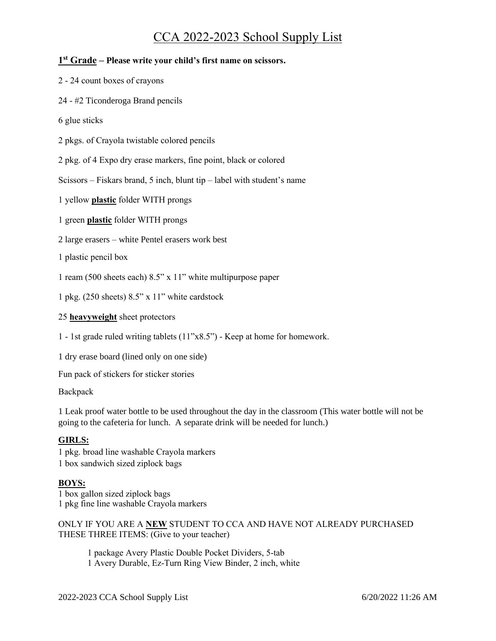## **1 st Grade – Please write your child's first name on scissors.**

- 2 24 count boxes of crayons
- 24 #2 Ticonderoga Brand pencils
- 6 glue sticks
- 2 pkgs. of Crayola twistable colored pencils

2 pkg. of 4 Expo dry erase markers, fine point, black or colored

Scissors – Fiskars brand, 5 inch, blunt tip – label with student's name

1 yellow **plastic** folder WITH prongs

1 green **plastic** folder WITH prongs

2 large erasers – white Pentel erasers work best

1 plastic pencil box

1 ream (500 sheets each) 8.5" x 11" white multipurpose paper

1 pkg. (250 sheets) 8.5" x 11" white cardstock

## 25 **heavyweight** sheet protectors

1 - 1st grade ruled writing tablets (11"x8.5") - Keep at home for homework.

1 dry erase board (lined only on one side)

Fun pack of stickers for sticker stories

Backpack

1 Leak proof water bottle to be used throughout the day in the classroom (This water bottle will not be going to the cafeteria for lunch. A separate drink will be needed for lunch.)

## **GIRLS:**

1 pkg. broad line washable Crayola markers 1 box sandwich sized ziplock bags

## **BOYS:**

1 box gallon sized ziplock bags 1 pkg fine line washable Crayola markers

ONLY IF YOU ARE A **NEW** STUDENT TO CCA AND HAVE NOT ALREADY PURCHASED THESE THREE ITEMS: (Give to your teacher)

1 package Avery Plastic Double Pocket Dividers, 5-tab 1 Avery Durable, Ez-Turn Ring View Binder, 2 inch, white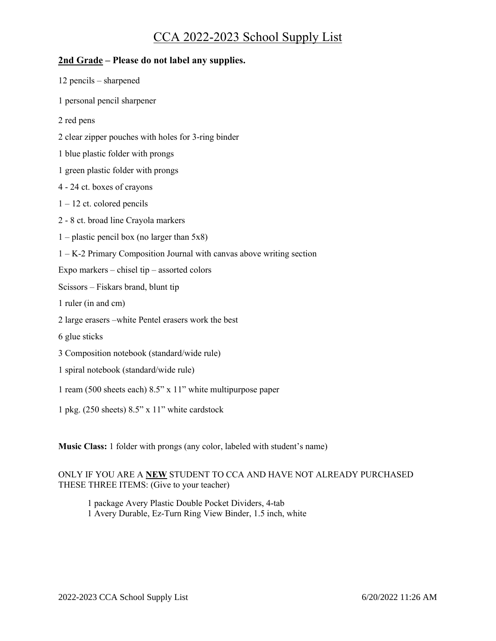## **2nd Grade – Please do not label any supplies.**

| $12$ pencils – sharpened                                                |
|-------------------------------------------------------------------------|
| 1 personal pencil sharpener                                             |
| 2 red pens                                                              |
| 2 clear zipper pouches with holes for 3-ring binder                     |
| 1 blue plastic folder with prongs                                       |
| 1 green plastic folder with prongs                                      |
| 4 - 24 ct. boxes of crayons                                             |
| $1 - 12$ ct. colored pencils                                            |
| 2 - 8 ct. broad line Crayola markers                                    |
| 1 – plastic pencil box (no larger than $5x8$ )                          |
| $1 - K-2$ Primary Composition Journal with canvas above writing section |
| Expo markers - chisel tip - assorted colors                             |
| Scissors - Fiskars brand, blunt tip                                     |
| 1 ruler (in and cm)                                                     |
| 2 large erasers – white Pentel erasers work the best                    |
| 6 glue sticks                                                           |
| 3 Composition notebook (standard/wide rule)                             |
| 1 spiral notebook (standard/wide rule)                                  |
| 1 ream (500 sheets each) $8.5$ " x 11" white multipurpose paper         |
| 1 pkg. (250 sheets) 8.5" x 11" white cardstock                          |

**Music Class:** 1 folder with prongs (any color, labeled with student's name)

## ONLY IF YOU ARE A **NEW** STUDENT TO CCA AND HAVE NOT ALREADY PURCHASED THESE THREE ITEMS: (Give to your teacher)

1 package Avery Plastic Double Pocket Dividers, 4-tab 1 Avery Durable, Ez-Turn Ring View Binder, 1.5 inch, white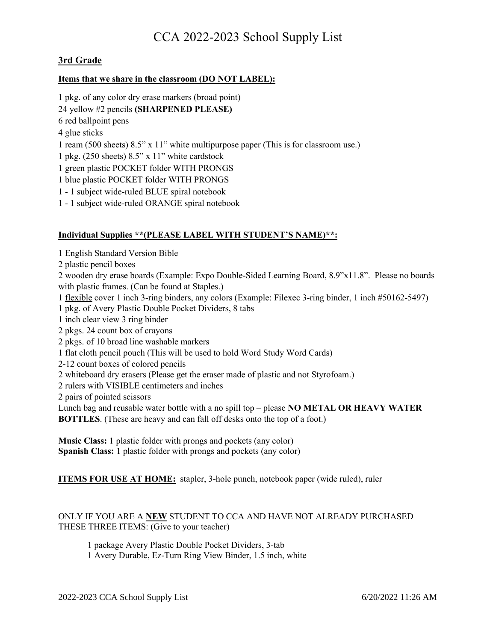## **3rd Grade**

## **Items that we share in the classroom (DO NOT LABEL):**

1 pkg. of any color dry erase markers (broad point) 24 yellow #2 pencils **(SHARPENED PLEASE)** 6 red ballpoint pens 4 glue sticks 1 ream (500 sheets) 8.5" x 11" white multipurpose paper (This is for classroom use.) 1 pkg. (250 sheets) 8.5" x 11" white cardstock 1 green plastic POCKET folder WITH PRONGS 1 blue plastic POCKET folder WITH PRONGS 1 - 1 subject wide-ruled BLUE spiral notebook 1 - 1 subject wide-ruled ORANGE spiral notebook

## **Individual Supplies \*\*(PLEASE LABEL WITH STUDENT'S NAME)\*\*:**

- 1 English Standard Version Bible
- 2 plastic pencil boxes
- 2 wooden dry erase boards (Example: Expo Double-Sided Learning Board, 8.9"x11.8". Please no boards with plastic frames. (Can be found at Staples.)
- 1 flexible cover 1 inch 3-ring binders, any colors (Example: Filexec 3-ring binder, 1 inch #50162-5497)
- 1 pkg. of Avery Plastic Double Pocket Dividers, 8 tabs
- 1 inch clear view 3 ring binder
- 2 pkgs. 24 count box of crayons
- 2 pkgs. of 10 broad line washable markers
- 1 flat cloth pencil pouch (This will be used to hold Word Study Word Cards)
- 2-12 count boxes of colored pencils
- 2 whiteboard dry erasers (Please get the eraser made of plastic and not Styrofoam.)
- 2 rulers with VISIBLE centimeters and inches
- 2 pairs of pointed scissors

Lunch bag and reusable water bottle with a no spill top – please **NO METAL OR HEAVY WATER BOTTLES**. (These are heavy and can fall off desks onto the top of a foot.)

**Music Class:** 1 plastic folder with prongs and pockets (any color) **Spanish Class:** 1 plastic folder with prongs and pockets (any color)

**ITEMS FOR USE AT HOME:** stapler, 3-hole punch, notebook paper (wide ruled), ruler

## ONLY IF YOU ARE A **NEW** STUDENT TO CCA AND HAVE NOT ALREADY PURCHASED THESE THREE ITEMS: (Give to your teacher)

1 package Avery Plastic Double Pocket Dividers, 3-tab 1 Avery Durable, Ez-Turn Ring View Binder, 1.5 inch, white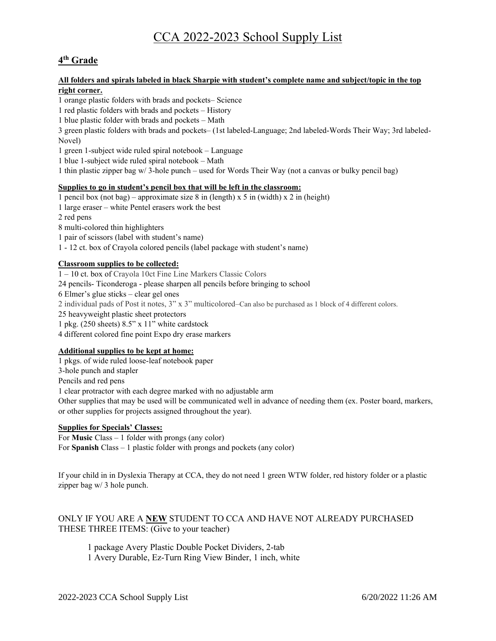## **4 th Grade**

### **All folders and spirals labeled in black Sharpie with student's complete name and subject/topic in the top right corner.**

1 orange plastic folders with brads and pockets– Science

1 red plastic folders with brads and pockets – History

1 blue plastic folder with brads and pockets – Math

3 green plastic folders with brads and pockets– (1st labeled-Language; 2nd labeled-Words Their Way; 3rd labeled-Novel)

1 green 1-subject wide ruled spiral notebook – Language

1 blue 1-subject wide ruled spiral notebook – Math

1 thin plastic zipper bag w/ 3-hole punch – used for Words Their Way (not a canvas or bulky pencil bag)

### **Supplies to go in student's pencil box that will be left in the classroom:**

1 pencil box (not bag) – approximate size 8 in (length) x 5 in (width) x 2 in (height)

- 1 large eraser white Pentel erasers work the best
- 2 red pens

8 multi-colored thin highlighters

1 pair of scissors (label with student's name)

1 - 12 ct. box of Crayola colored pencils (label package with student's name)

## **Classroom supplies to be collected:**

1 – 10 ct. box of Crayola 10ct Fine Line Markers Classic Colors 24 pencils- Ticonderoga - please sharpen all pencils before bringing to school 6 Elmer's glue sticks – clear gel ones 2 individual pads of Post it notes, 3" x 3" multicolored–Can also be purchased as 1 block of 4 different colors. 25 heavyweight plastic sheet protectors 1 pkg. (250 sheets) 8.5" x 11" white cardstock 4 different colored fine point Expo dry erase markers

### **Additional supplies to be kept at home:**

1 pkgs. of wide ruled loose-leaf notebook paper 3-hole punch and stapler Pencils and red pens 1 clear protractor with each degree marked with no adjustable arm Other supplies that may be used will be communicated well in advance of needing them (ex. Poster board, markers, or other supplies for projects assigned throughout the year).

### **Supplies for Specials' Classes:**

For **Music** Class – 1 folder with prongs (any color) For **Spanish** Class – 1 plastic folder with prongs and pockets (any color)

If your child in in Dyslexia Therapy at CCA, they do not need 1 green WTW folder, red history folder or a plastic zipper bag w/ 3 hole punch.

## ONLY IF YOU ARE A **NEW** STUDENT TO CCA AND HAVE NOT ALREADY PURCHASED THESE THREE ITEMS: (Give to your teacher)

1 package Avery Plastic Double Pocket Dividers, 2-tab 1 Avery Durable, Ez-Turn Ring View Binder, 1 inch, white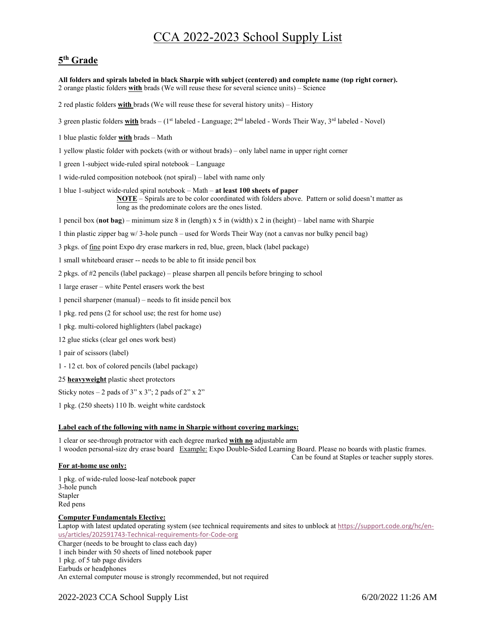## **5 th Grade**

**All folders and spirals labeled in black Sharpie with subject (centered) and complete name (top right corner).** 2 orange plastic folders **with** brads (We will reuse these for several science units) – Science

2 red plastic folders **with** brads (We will reuse these for several history units) – History

3 green plastic folders **with** brads – (1<sup>st</sup> labeled - Language; 2<sup>nd</sup> labeled - Words Their Way, 3<sup>rd</sup> labeled - Novel)

1 blue plastic folder **with** brads – Math

1 yellow plastic folder with pockets (with or without brads) – only label name in upper right corner

1 green 1-subject wide-ruled spiral notebook – Language

1 wide-ruled composition notebook (not spiral) – label with name only

1 blue 1-subject wide-ruled spiral notebook – Math – **at least 100 sheets of paper NOTE** – Spirals are to be color coordinated with folders above. Pattern or solid doesn't matter as

long as the predominate colors are the ones listed.

1 pencil box (**not bag**) – minimum size 8 in (length) x 5 in (width) x 2 in (height) – label name with Sharpie

1 thin plastic zipper bag w/ 3-hole punch – used for Words Their Way (not a canvas nor bulky pencil bag)

3 pkgs. of fine point Expo dry erase markers in red, blue, green, black (label package)

1 small whiteboard eraser -- needs to be able to fit inside pencil box

2 pkgs. of #2 pencils (label package) – please sharpen all pencils before bringing to school

1 large eraser – white Pentel erasers work the best

1 pencil sharpener (manual) – needs to fit inside pencil box

1 pkg. red pens (2 for school use; the rest for home use)

1 pkg. multi-colored highlighters (label package)

12 glue sticks (clear gel ones work best)

1 pair of scissors (label)

1 - 12 ct. box of colored pencils (label package)

25 **heavyweight** plastic sheet protectors

Sticky notes – 2 pads of  $3$ " x  $3$ "; 2 pads of  $2$ " x  $2$ "

1 pkg. (250 sheets) 110 lb. weight white cardstock

#### **Label each of the following with name in Sharpie without covering markings:**

1 clear or see-through protractor with each degree marked **with no** adjustable arm

1 wooden personal-size dry erase board Example: Expo Double-Sided Learning Board. Please no boards with plastic frames.

Can be found at Staples or teacher supply stores.

#### **For at-home use only:**

1 pkg. of wide-ruled loose-leaf notebook paper 3-hole punch Stapler Red pens

#### **Computer Fundamentals Elective:**

Laptop with latest updated operating system (see technical requirements and sites to unblock at [https://support.code.org/hc/en](https://support.code.org/hc/en-us/articles/202591743-Technical-requirements-for-Code-org)[us/articles/202591743-Technical-requirements-for-Code-org](https://support.code.org/hc/en-us/articles/202591743-Technical-requirements-for-Code-org)

Charger (needs to be brought to class each day)

1 inch binder with 50 sheets of lined notebook paper 1 pkg. of 5 tab page dividers

Earbuds or headphones

An external computer mouse is strongly recommended, but not required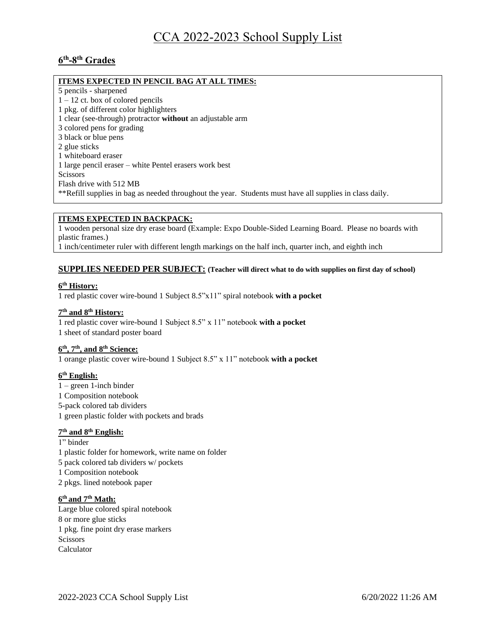## **6 th -8 th Grades**

## **ITEMS EXPECTED IN PENCIL BAG AT ALL TIMES:**

5 pencils - sharpened

 $1 - 12$  ct. box of colored pencils

1 pkg. of different color highlighters

- 1 clear (see-through) protractor **without** an adjustable arm
- 3 colored pens for grading
- 3 black or blue pens
- 2 glue sticks
- 1 whiteboard eraser
- 1 large pencil eraser white Pentel erasers work best

Scissors

Flash drive with 512 MB

\*\*Refill supplies in bag as needed throughout the year. Students must have all supplies in class daily.

### **ITEMS EXPECTED IN BACKPACK:**

1 wooden personal size dry erase board (Example: Expo Double-Sided Learning Board. Please no boards with plastic frames.)

1 inch/centimeter ruler with different length markings on the half inch, quarter inch, and eighth inch

## **SUPPLIES NEEDED PER SUBJECT: (Teacher will direct what to do with supplies on first day of school)**

### **6 th History:**

1 red plastic cover wire-bound 1 Subject 8.5"x11" spiral notebook **with a pocket**

### **7 th and 8th History:**

1 red plastic cover wire-bound 1 Subject 8.5" x 11" notebook **with a pocket** 1 sheet of standard poster board

### **6 th, 7th, and 8th Science:**

1 orange plastic cover wire-bound 1 Subject 8.5" x 11" notebook **with a pocket**

### **6 th English:**

1 – green 1-inch binder 1 Composition notebook 5-pack colored tab dividers 1 green plastic folder with pockets and brads

### **7 th and 8 th English:**

- 1" binder
- 1 plastic folder for homework, write name on folder
- 5 pack colored tab dividers w/ pockets
- 1 Composition notebook
- 2 pkgs. lined notebook paper

#### **6 th and 7 th Math:**

Large blue colored spiral notebook 8 or more glue sticks 1 pkg. fine point dry erase markers **Scissors** Calculator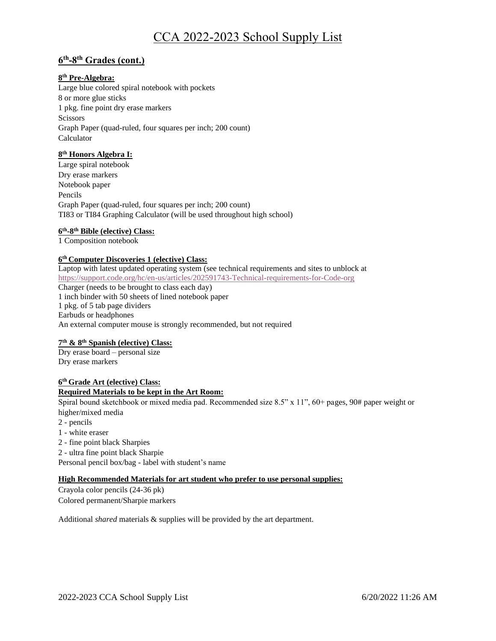## **6 th -8 th Grades (cont.)**

## **8 th Pre-Algebra:**

Large blue colored spiral notebook with pockets 8 or more glue sticks 1 pkg. fine point dry erase markers **Scissors** Graph Paper (quad-ruled, four squares per inch; 200 count) Calculator

### **8 th Honors Algebra I:**

Large spiral notebook Dry erase markers Notebook paper Pencils Graph Paper (quad-ruled, four squares per inch; 200 count) TI83 or TI84 Graphing Calculator (will be used throughout high school)

## **6 th -8 th Bible (elective) Class:**

1 Composition notebook

### **6 th Computer Discoveries 1 (elective) Class:**

Laptop with latest updated operating system (see technical requirements and sites to unblock at <https://support.code.org/hc/en-us/articles/202591743-Technical-requirements-for-Code-org> Charger (needs to be brought to class each day) 1 inch binder with 50 sheets of lined notebook paper 1 pkg. of 5 tab page dividers Earbuds or headphones An external computer mouse is strongly recommended, but not required

### **7 th & 8th Spanish (elective) Class:**

Dry erase board – personal size Dry erase markers

## **6 th Grade Art (elective) Class: Required Materials to be kept in the Art Room:**

Spiral bound sketchbook or mixed media pad. Recommended size 8.5" x 11",  $60+$  pages,  $90#$  paper weight or higher/mixed media

- 2 pencils
- 1 white eraser
- 2 fine point black Sharpies
- 2 ultra fine point black Sharpie

Personal pencil box/bag - label with student's name

### **High Recommended Materials for art student who prefer to use personal supplies:**

Crayola color pencils (24-36 pk) Colored permanent/Sharpie markers

Additional *shared* materials & supplies will be provided by the art department.